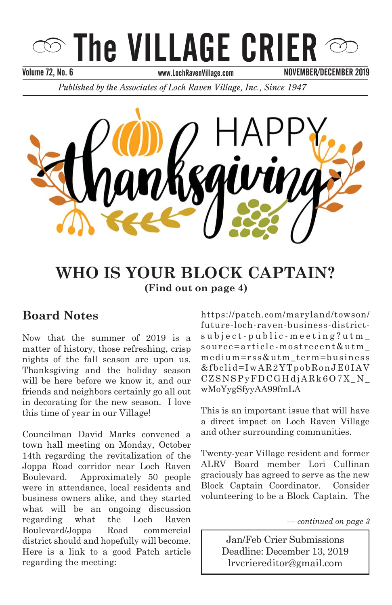# The VILLAGE CRIER

Volume 72, No. 6 September 2013 September 2013 November 2013

NOVEMBER/DECEMBER 2019

*Published by the Associates of Loch Raven Village, Inc., Since 1947* 



#### **WHO IS YOUR BLOCK CAPTAIN?**  $\sum_{i=1}^{n}$  and  $\sum_{i=1}^{n}$  contains continue  $\sum_{i=1}^{n}$  $\sum_{i=1}^{\infty}$ (Find out on page 4)

## **Board Notes**

matter of history, those refreshing, crisp nights of the fall season are upon us. Thanksgiving and the holiday season will be here before we know it, and our friends and neighbors certainly go all out in decorating for the new season. I love this time of year in our Village! Now that the summer of 2019 is a

town hall meeting on Monday, October 14th regarding the revitalization of the Joppa Road corridor near Loch Raven Boulevard. Approximately 50 people were in attendance, local residents and business owners alike, and they started what will be an ongoing discussion regarding what the Loch Raven Boulevard/Joppa Road commercial district should and hopefully will become. Here is a link to a good Patch article regarding the meeting: Councilman David Marks convened a Boulevard/Joppa Road commercial https://patch.com/maryland/towson/ future-loch-raven-business-district $s$ ubject-public-meeting?utm\_ source=article-mostrecent&utm\_ medium=rss&utm\_term=business  $&fbcli d=IwAR2YTpobRonJE0IAV$ CZSNSPyFDCGHdjARk6O7X\_N\_ wMoYygSfyyAA99fmLA

a direct impact on Loch Kaven vil<br>and other surrounding communities. **Pancake Breakfast with Santa!** *–continued on page 3* This is an important issue that will have a direct impact on Loch Raven Village

Twenty-year Village resident and former ALRV Board member Lori Cullinan graciously has agreed to serve as the new Block Captain Coordinator. Consider  $\overline{\text{S}}$  be a Block volunteering to be a Block Captain. The

*For Santa's Ride Information — continued on page 3*

lrvcriereditor@gmail.com  $\overline{\phantom{a}}$ **Jan/Feb Crier Submissions** Deadline: December 13, 2019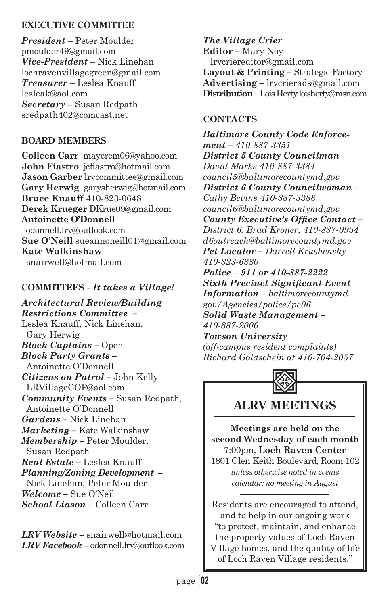#### **EXECUTIVE COMMITTEE**

*President* – Peter Moulder pmoulder49@gmail.com *Vice-President* – Nick Linehan lochravenvillagegreen@gmail.com *Treasurer* – Leslea Knauff lesleak@aol.com *Secretary* – Susan Redpath sredpath402@comcast.net

#### **BOARD MEMBERS**

**Colleen Carr** mayercm06@yahoo.com **John Fiastro** icfiastro@hotmail.com **Jason Garber** lrvcommittee@gmail.com **Gary Herwig** garysherwig@hotmail.com **Bruce Knauff** 410-823-0648 **Derek Krueger** DKrue09@gmail.com **Antoinette O'Donnell** odonnell.lrv@outlook.com **Sue O'Neill** sueannoneill01@gmail.com **Kate Walkinshaw** snairwell@hotmail.com

#### **COMMITTEES -** *It takes a Village!*

*Architectural Review/Building Restrictions Committee –* Leslea Knauff, Nick Linehan, Gary Herwig *Block Captains –* Open *Block Party Grants –* Antoinette O'Donnell *Citizens on Patrol –* John Kelly LRVillageCOP@aol.com *Community Events –* Susan Redpath, Antoinette O'Donnell *Gardens –* Nick Linehan *Marketing –* Kate Walkinshaw *Membership –* Peter Moulder, Susan Redpath *Real Estate –* Leslea Knauff *Planning/Zoning Development –* Nick Linehan, Peter Moulder *Welcome –* Sue O'Neil *School Liason –* Colleen Carr

*LRV Website –* snairwell@hotmail.com *LRV Facebook* – odonnell.lrv@outlook.com

*The Village Crier*  **Editor** *–* Mary Noy lrvcriereditor@gmail.com **Layout & Printing** *–* Strategic Factory **Advertising** *–* lrvcrierads@gmail.com **Distribution** *–* Lois Herty loisherty@msn.com

#### **CONTACTS**

*Baltimore County Code Enforcement – 410-887-3351 District 5 County Councilman – David Marks 410-887-3384 council5@baltimorecountymd.gov District 6 County Councilwoman – Cathy Bevins 410-887-3388 council6@baltimorecountymd.gov*  County Executive's Office Contact-*District 6: Brad Kroner, 410-887-0954 d6outreach@baltimorecountymd.gov Pet Locator – Darrell Krushensky 410-823-6330 Police – 911 or 410-887-2222*   $Sixth$  *Precinct Significant Event Information – baltimorecountymd. gov/Agencies/police/pc06 Solid Waste Management – 410-887-2000 Towson University* 

*(off-campus resident complaints) Richard Goldschein at 410-704-2057*



## **ALRV MEETINGS**

**Meetings are held on the second Wednesday of each month** 7:00pm, **Loch Raven Center** 1801 Glen Keith Boulevard, Room 102

*unless otherwise noted in events calendar; no meeting in August*

Residents are encouraged to attend, and to help in our ongoing work "to protect, maintain, and enhance the property values of Loch Raven Village homes, and the quality of life of Loch Raven Village residents."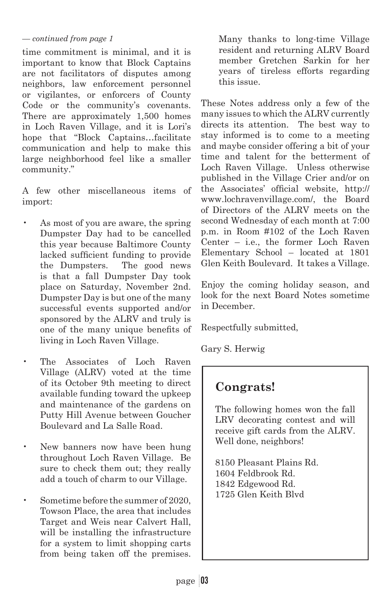#### *— continued from page 1*

time commitment is minimal, and it is important to know that Block Captains are not facilitators of disputes among neighbors, law enforcement personnel or vigilantes, or enforcers of County Code or the community's covenants. There are approximately 1,500 homes in Loch Raven Village, and it is Lori's hope that "Block Captains…facilitate communication and help to make this large neighborhood feel like a smaller community."

A few other miscellaneous items of import:

- As most of you are aware, the spring Dumpster Day had to be cancelled this year because Baltimore County lacked sufficient funding to provide the Dumpsters. The good news is that a fall Dumpster Day took place on Saturday, November 2nd. Dumpster Day is but one of the many successful events supported and/or sponsored by the ALRV and truly is one of the many unique benefits of living in Loch Raven Village.
- The Associates of Loch Raven Village (ALRV) voted at the time of its October 9th meeting to direct available funding toward the upkeep and maintenance of the gardens on Putty Hill Avenue between Goucher Boulevard and La Salle Road.
- New banners now have been hung throughout Loch Raven Village. Be sure to check them out; they really add a touch of charm to our Village.
- Sometime before the summer of 2020, Towson Place, the area that includes Target and Weis near Calvert Hall, will be installing the infrastructure for a system to limit shopping carts from being taken off the premises.

Many thanks to long-time Village resident and returning ALRV Board member Gretchen Sarkin for her years of tireless efforts regarding this issue.

These Notes address only a few of the many issues to which the ALRV currently directs its attention. The best way to stay informed is to come to a meeting and maybe consider offering a bit of your time and talent for the betterment of Loch Raven Village. Unless otherwise published in the Village Crier and/or on the Associates' official website, http:// www.lochravenvillage.com/, the Board of Directors of the ALRV meets on the second Wednesday of each month at 7:00 p.m. in Room #102 of the Loch Raven Center – i.e., the former Loch Raven Elementary School – located at 1801 Glen Keith Boulevard. It takes a Village.

Enjoy the coming holiday season, and look for the next Board Notes sometime in December.

Respectfully submitted,

Gary S. Herwig

## **Congrats!**

The following homes won the fall LRV decorating contest and will receive gift cards from the ALRV. Well done, neighbors!

8150 Pleasant Plains Rd. 1604 Feldbrook Rd. 1842 Edgewood Rd. 1725 Glen Keith Blvd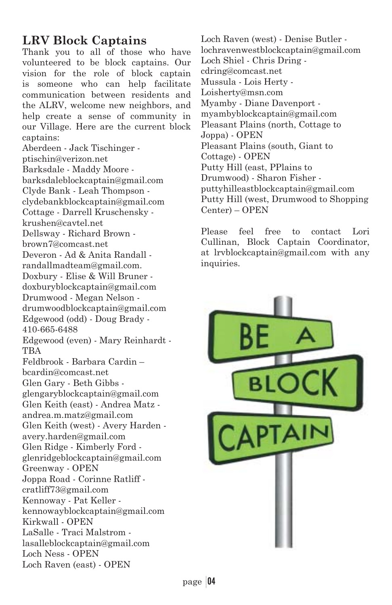## **LRV Block Captains**

Thank you to all of those who have volunteered to be block captains. Our vision for the role of block captain is someone who can help facilitate communication between residents and the ALRV, welcome new neighbors, and help create a sense of community in our Village. Here are the current block captains:

Aberdeen - Jack Tischinger ptischin@verizon.net Barksdale - Maddy Moore barksdaleblockcaptain@gmail.com Clyde Bank - Leah Thompson clydebankblockcaptain@gmail.com Cottage - Darrell Kruschensky krushen@cavtel.net Dellsway - Richard Brown brown7@comcast.net Deveron - Ad & Anita Randall randallmadteam@gmail.com. Doxbury - Elise & Will Bruner doxburyblockcaptain@gmail.com Drumwood - Megan Nelson drumwoodblockcaptain@gmail.com Edgewood (odd) - Doug Brady - 410-665-6488 Edgewood (even) - Mary Reinhardt - **TBA** Feldbrook - Barbara Cardin – bcardin@comcast.net Glen Gary - Beth Gibbs glengaryblockcaptain@gmail.com Glen Keith (east) - Andrea Matz andrea.m.matz@gmail.com Glen Keith (west) - Avery Harden avery.harden@gmail.com Glen Ridge - Kimberly Ford glenridgeblockcaptain@gmail.com Greenway - OPEN Joppa Road - Corinne Ratliff cratliff73@gmail.com Kennoway - Pat Keller kennowayblockcaptain@gmail.com

Kirkwall - OPEN LaSalle - Traci Malstrom lasalleblockcaptain@gmail.com Loch Ness - OPEN

Loch Raven (east) - OPEN

Loch Raven (west) - Denise Butler lochravenwestblockcaptain@gmail.com Loch Shiel - Chris Dring cdring@comcast.net Mussula - Lois Herty - Loisherty@msn.com Myamby - Diane Davenport myambyblockcaptain@gmail.com Pleasant Plains (north, Cottage to Joppa) - OPEN Pleasant Plains (south, Giant to Cottage) - OPEN Putty Hill (east, PPlains to Drumwood) - Sharon Fisher puttyhilleastblockcaptain@gmail.com Putty Hill (west, Drumwood to Shopping Center) – OPEN

Please feel free to contact Lori Cullinan, Block Captain Coordinator, at lrvblockcaptain@gmail.com with any inquiries.

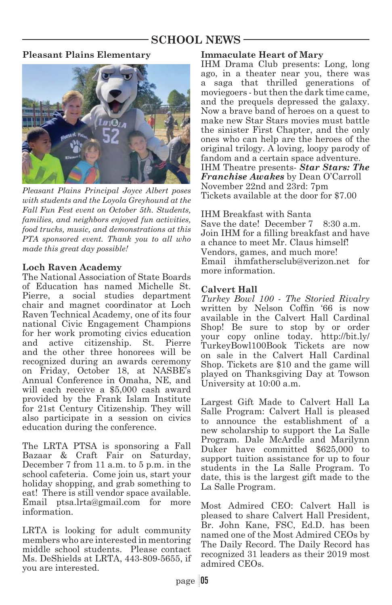## **SCHOOL NEWS**

#### **Pleasant Plains Elementary**



*Pleasant Plains Principal Joyce Albert poses with students and the Loyola Greyhound at the Fall Fun Fest event on October 5th. Students, families, and neighbors enjoyed fun activities, food trucks, music, and demonstrations at this PTA sponsored event. Thank you to all who made this great day possible!*

#### **Loch Raven Academy**

The National Association of State Boards of Education has named Michelle St. Pierre, a social studies department chair and magnet coordinator at Loch Raven Technical Academy, one of its four national Civic Engagement Champions for her work promoting civics education and active citizenship. St. Pierre and the other three honorees will be recognized during an awards ceremony on Friday, October 18, at NASBE's Annual Conference in Omaha, NE, and will each receive a \$5,000 cash award provided by the Frank Islam Institute for 21st Century Citizenship. They will also participate in a session on civics education during the conference.

The LRTA PTSA is sponsoring a Fall Bazaar & Craft Fair on Saturday, December 7 from 11 a.m. to 5 p.m. in the school cafeteria. Come join us, start your holiday shopping, and grab something to eat! There is still vendor space available. Email ptsa.lrta@gmail.com for more information.

LRTA is looking for adult community members who are interested in mentoring middle school students. Please contact Ms. DeShields at LRTA, 443-809-5655, if you are interested.

#### **Immaculate Heart of Mary**

IHM Drama Club presents: Long, long ago, in a theater near you, there was a saga that thrilled generations of moviegoers - but then the dark time came, and the prequels depressed the galaxy. Now a brave band of heroes on a quest to make new Star Stars movies must battle the sinister First Chapter, and the only ones who can help are the heroes of the original trilogy. A loving, loopy parody of fandom and a certain space adventure. IHM Theatre presents- *Star Stars: The Franchise Awakes* by Dean O'Carroll November 22nd and 23rd: 7pm Tickets available at the door for \$7.00

IHM Breakfast with Santa Save the date! December 7 8:30 a.m. Join IHM for a filling breakfast and have a chance to meet Mr. Claus himself! Vendors, games, and much more! Email ihmfathersclub@verizon.net for more information.

#### **Calvert Hall**

*Turkey Bowl 100 - The Storied Rivalry* written by Nelson Coffin '66 is now available in the Calvert Hall Cardinal Shop! Be sure to stop by or order your copy online today. http://bit.ly/ TurkeyBowl100Book Tickets are now on sale in the Calvert Hall Cardinal Shop. Tickets are \$10 and the game will played on Thanksgiving Day at Towson University at 10:00 a.m.

Largest Gift Made to Calvert Hall La Salle Program: Calvert Hall is pleased to announce the establishment of a new scholarship to support the La Salle Program. Dale McArdle and Marilynn Duker have committed \$625,000 to support tuition assistance for up to four students in the La Salle Program. To date, this is the largest gift made to the La Salle Program.

Most Admired CEO: Calvert Hall is pleased to share Calvert Hall President, Br. John Kane, FSC, Ed.D. has been named one of the Most Admired CEOs by The Daily Record. The Daily Record has recognized 31 leaders as their 2019 most admired CEOs.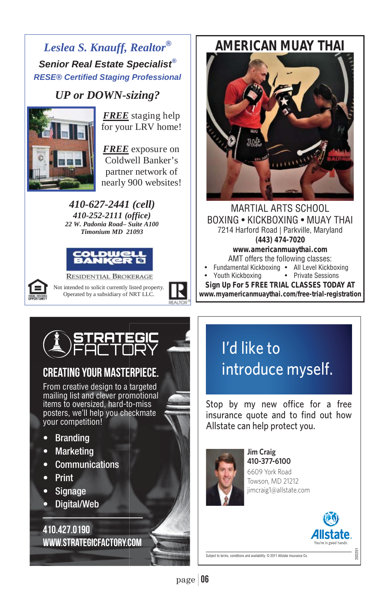## *Leslea S. Knauff, Realtor® Senior Real Estate Specialist® RESE® Certified Staging Professional*

# *UP or DOWN-sizing?*<br>FREE staging help



for your LRV home!

nearly 900 websites! *FREE* exposure on Coldwell Banker's partner network of

*410-627-2441 (cell) 410-252-2111 (office) 22 W. Padonia Road– Suite A100 Timonium MD 21093* 





**RESIDENTIAL BROKERAGE** Not intended to solicit currently listed property. Operated by a subsidiary of NRT LLC.



## *AMERICAN MUAY THAI*



MARTIAL ARTS SCHOOL BOXING • KICKBOXING • MUAY THAI 7214 Harford Road | Parkville, Maryland *(443) 474-7020 www.americanmuaythai.com* AMT offers the following classes: • Fundamental Kickboxing • All Level Kickboxing

¤ ¤ • Youth Kickboxing • Private Sessions *Sign Up For 5 FREE TRIAL CLASSES TODAY AT www.myamericanmuaythai.com/free-trial-registration*



## CREATING YOUR MASTERPIECE.

From creative design to a targeted mailing list and clever promotional items to oversized, hard-to-miss posters, we'll help you checkmate your competition!

- Branding
- **Marketing**
- Communications
- Print
- **Signage**
- Digital/Web

410.427.0190 www.strategicfactory.com

## I'd like to introduce myself.

Stop by my new office for a free insurance quote and to find out how Allstate can help protect you.



**Jim Craig** 410-377-6100 6609 York Road Towson, MD 21212 jimcraig1@allstate.com



202251

Subject to terms, conditions and availability. © 2011 Allstate Insurance Co.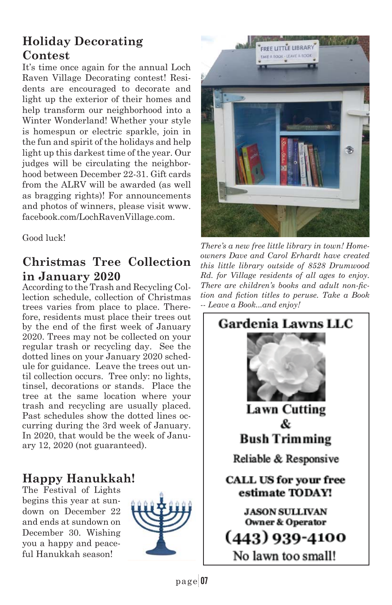## **Holiday Decorating Contest**

It's time once again for the annual Loch Raven Village Decorating contest! Residents are encouraged to decorate and light up the exterior of their homes and help transform our neighborhood into a Winter Wonderland! Whether your style is homespun or electric sparkle, join in the fun and spirit of the holidays and help light up this darkest time of the year. Our judges will be circulating the neighborhood between December 22-31. Gift cards from the ALRV will be awarded (as well as bragging rights)! For announcements and photos of winners, please visit www. facebook.com/LochRavenVillage.com.

Good luck!

## **Christmas Tree Collection in January 2020**

According to the Trash and Recycling Collection schedule, collection of Christmas trees varies from place to place. Therefore, residents must place their trees out by the end of the first week of January 2020. Trees may not be collected on your regular trash or recycling day. See the dotted lines on your January 2020 schedule for guidance. Leave the trees out until collection occurs. Tree only: no lights, tinsel, decorations or stands. Place the tree at the same location where your trash and recycling are usually placed. Past schedules show the dotted lines occurring during the 3rd week of January. In 2020, that would be the week of January 12, 2020 (not guaranteed).

## **Happy Hanukkah!**

The Festival of Lights begins this year at sundown on December 22 and ends at sundown on December 30. Wishing you a happy and peaceful Hanukkah season!





*There's a new free little library in town! Homeowners Dave and Carol Erhardt have created this little library outside of 8528 Drumwood Rd. for Village residents of all ages to enjoy.*  There are children's books and adult non-fic*tion and fiction titles to peruse. Take a Book -- Leave a Book...and enjoy!*

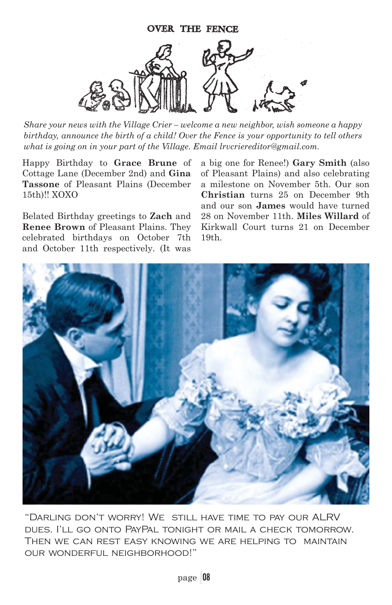

*Share your news with the Village Crier – welcome a new neighbor, wish someone a happy birthday, announce the birth of a child! Over the Fence is your opportunity to tell others what is going on in your part of the Village. Email lrvcriereditor@gmail.com.*

Happy Birthday to **Grace Brune** of Cottage Lane (December 2nd) and **Gina Tassone** of Pleasant Plains (December 15th)!! XOXO

Belated Birthday greetings to **Zach** and **Renee Brown** of Pleasant Plains. They celebrated birthdays on October 7th and October 11th respectively. (It was

a big one for Renee!) **Gary Smith** (also of Pleasant Plains) and also celebrating a milestone on November 5th. Our son **Christian** turns 25 on December 9th and our son **James** would have turned 28 on November 11th. **Miles Willard** of Kirkwall Court turns 21 on December 19th.



"Darling don't worry! We still have time to pay our ALRV dues. I'll go onto PayPal tonight or mail a check tomorrow. Then we can rest easy knowing we are helping to maintain our wonderful neighborhood!"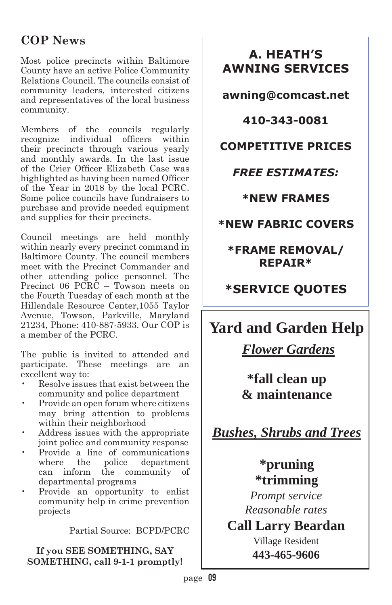## **COP News**

Most police precincts within Baltimore County have an active Police Community Relations Council. The councils consist of community leaders, interested citizens and representatives of the local business community.

Members of the councils regularly recognize individual officers within their precincts through various yearly and monthly awards. In the last issue of the Crier Officer Elizabeth Case was highlighted as having been named Officer of the Year in 2018 by the local PCRC. Some police councils have fundraisers to purchase and provide needed equipment and supplies for their precincts.

Council meetings are held monthly within nearly every precinct command in Baltimore County. The council members meet with the Precinct Commander and other attending police personnel. The Precinct 06 PCRC – Towson meets on the Fourth Tuesday of each month at the Hillendale Resource Center,1055 Taylor Avenue, Towson, Parkville, Maryland 21234, Phone: 410-887-5933. Our COP is a member of the PCRC.

The public is invited to attended and participate. These meetings are an excellent way to:

- Resolve issues that exist between the community and police department
- Provide an open forum where citizens may bring attention to problems within their neighborhood
- Address issues with the appropriate joint police and community response
- Provide a line of communications where the police department<br>can inform the community of the community of departmental programs
- Provide an opportunity to enlist community help in crime prevention projects

Partial Source: BCPD/PCRC

**If you SEE SOMETHING, SAY SOMETHING, call 9-1-1 promptly!** 

## **A. HEATH'S AWNING SERVICES**

**awning@comcast.net** 

**410-343-0081** 

## **COMPETITIVE PRICES**

## *FREE ESTIMATES:*

**\*NEW FRAMES** 

**\*NEW FABRIC COVERS** 

**\*FRAME REMOVAL/ REPAIR\*** 

## **\*SERVICE QUOTES**

## **Yard and Garden Help**

 *Flower Gardens* 

## **\*fall clean up & maintenance**

*Bushes, Shrubs and Trees* 

## **\*pruning \*trimming**

*Prompt service Reasonable rates*

**Call Larry Beardan** Village Resident

**443-465-9606**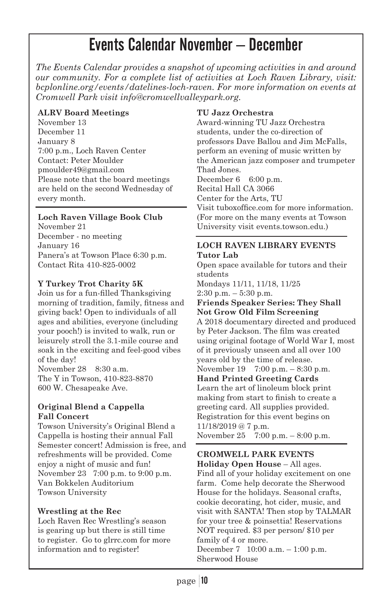## Events Calendar November – December

*The Events Calendar provides a snapshot of upcoming activities in and around our community. For a complete list of activities at Loch Raven Library, visit: bcplonline.org/events/datelines-loch-raven. For more information on events at Cromwell Park visit info@cromwellvalleypark.org.* 

#### **ALRV Board Meetings**

November 13 December 11 January 8 7:00 p.m., Loch Raven Center Contact: Peter Moulder pmoulder49@gmail.com Please note that the board meetings are held on the second Wednesday of every month.

#### **Loch Raven Village Book Club**

November 21 December - no meeting January 16 Panera's at Towson Place 6:30 p.m. Contact Rita 410-825-0002

#### **Y Turkey Trot Charity 5K**

Join us for a fun-filled Thanksgiving morning of tradition, family, fitness and giving back! Open to individuals of all ages and abilities, everyone (including your pooch!) is invited to walk, run or leisurely stroll the 3.1-mile course and soak in the exciting and feel-good vibes of the day!

November 28 8:30 a.m. The Y in Towson, 410-823-8870 600 W. Chesapeake Ave.

#### **Original Blend a Cappella Fall Concert**

Towson University's Original Blend a Cappella is hosting their annual Fall Semester concert! Admission is free, and refreshments will be provided. Come enjoy a night of music and fun! November 23 7:00 p.m. to 9:00 p.m. Van Bokkelen Auditorium Towson University

#### **Wrestling at the Rec**

Loch Raven Rec Wrestling's season is gearing up but there is still time to register. Go to glrrc.com for more information and to register!

#### **TU Jazz Orchestra**

Award-winning TU Jazz Orchestra students, under the co-direction of professors Dave Ballou and Jim McFalls, perform an evening of music written by the American jazz composer and trumpeter Thad Jones. December  $6.6:00 \text{ p.m.}$ 

Recital Hall CA 3066

Center for the Arts, TU

Visit tuboxoffice.com for more information. (For more on the many events at Towson University visit events.towson.edu.)

#### **LOCH RAVEN LIBRARY EVENTS Tutor Lab**

Open space available for tutors and their students Mondays 11/11, 11/18, 11/25

 $2:30$  p.m.  $-5:30$  p.m.

#### **Friends Speaker Series: They Shall Not Grow Old Film Screening**

A 2018 documentary directed and produced by Peter Jackson. The film was created using original footage of World War I, most of it previously unseen and all over 100 years old by the time of release.

November 19 7:00 p.m. – 8:30 p.m. **Hand Printed Greeting Cards** Learn the art of linoleum block print making from start to finish to create a greeting card. All supplies provided. Registration for this event begins on 11/18/2019 @ 7 p.m.

November 25 7:00 p.m. – 8:00 p.m.

#### **CROMWELL PARK EVENTS**

**Holiday Open House** – All ages. Find all of your holiday excitement on one farm. Come help decorate the Sherwood House for the holidays. Seasonal crafts, cookie decorating, hot cider, music, and visit with SANTA! Then stop by TALMAR for your tree & poinsettia! Reservations NOT required. \$3 per person/ \$10 per family of 4 or more. December 7 10:00 a.m. – 1:00 p.m. Sherwood House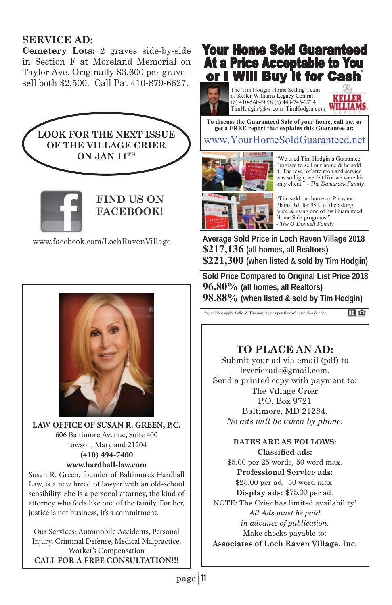### **SERVICE AD:**

**Cemetery Lots:** 2 graves side-by-side in Section F at Moreland Memorial on Taylor Ave. Originally \$3,600 per grave- sell both \$2,500. Call Pat 410-879-6627.





**FIND US ON FACEBOOK!**

www.facebook.com/LochRavenVillage.



**LAW OFFICE OF SUSAN R. GREEN, P.C.** 606 Baltimore Avenue, Suite 400 Towson, Maryland 21204 **(410) 494-7400 www.hardball-law.com**

Susan R. Green, founder of Baltimore's Hardball Law, is a new breed of lawyer with an old-school sensibility. She is a personal attorney, the kind of attorney who feels like one of the family. For her, justice is not business, it's a commitment.

Our Services: Automobile Accidents, Personal Injury, Criminal Defense, Medical Malpractice, Worker's Compensation **CALL FOR A FREE CONSULTATION!!!**

## **Your Home Sold Guaranteed At a Price Acceptable to You** or I Will Buy it for Cash

The Tim Hodgin Home Selling Team of Keller Williams Legacy Central (o) 410-560-5858 (c) 443-745-2734 TimHodgin@kw.com TimHodgin.com

KOLLER **WILLIAMS** 

**To discuss the Guaranteed Sale of your home, call me, or get a FREE report that explains this Guarantee at:** 

### www.YourHomeSoldGuaranteed.net



"We used Tim Hodgin's Guarantee Program to sell our home & he sold it. The level of attention and service was so high, we felt like we were his only client." - *The Damareck Family*



**Average Sold Price in Loch Raven Village 2018 \$217,136 (all homes, all Realtors) \$221,300 (when listed & sold by Tim Hodgin)** 

**Sold Price Compared to Original List Price 2018 96.80% (all homes, all Realtors) 98.88% (when listed & sold by Tim Hodgin)**

\*conditions apply. Seller & Tim must agree upon time of possession & price. 田白

### **TO PLACE AN AD:**

Submit your ad via email (pdf) to lrvcrierads@gmail.com. Send a printed copy with payment to: The Village Crier P.O. Box 9721 Baltimore, MD 21284. *No ads will be taken by phone.*

#### **RATES ARE AS FOLLOWS: Classified ads:**

\$5.00 per 25 words, 50 word max. **Professional Service ads:** \$25.00 per ad, 50 word max. Display ads: \$75.00 per ad. NOTE: The Crier has limited availability! *All Ads must be paid in advance of publication.*  Make checks payable to: **Associates of Loch Raven Village, Inc.**